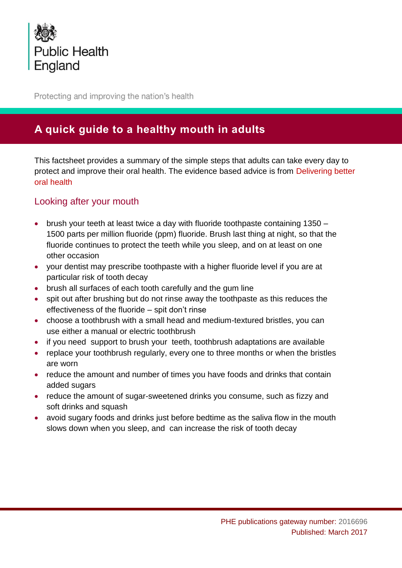

Protecting and improving the nation's health

# **A quick guide to a healthy mouth in adults**

This factsheet provides a summary of the simple steps that adults can take every day to protect and improve their oral health. The evidence based advice is from [Delivering](https://www.gov.uk/government/publications/delivering-better-oral-health-an-evidence-based-toolkit-for-prevention) better oral [health](https://www.gov.uk/government/publications/delivering-better-oral-health-an-evidence-based-toolkit-for-prevention)

#### Looking after your mouth

- brush your teeth at least twice a day with fluoride toothpaste containing 1350 1500 parts per million fluoride (ppm) fluoride. Brush last thing at night, so that the fluoride continues to protect the teeth while you sleep, and on at least on one other occasion
- your dentist may prescribe toothpaste with a higher fluoride level if you are at particular risk of tooth decay
- brush all surfaces of each tooth carefully and the gum line
- spit out after brushing but do not rinse away the toothpaste as this reduces the effectiveness of the fluoride – spit don't rinse
- choose a toothbrush with a small head and medium-textured bristles, you can use either a manual or electric toothbrush
- if you need support to brush your teeth, toothbrush adaptations are available
- replace your toothbrush regularly, every one to three months or when the bristles are worn
- reduce the amount and number of times you have foods and drinks that contain added sugars
- reduce the amount of sugar-sweetened drinks you consume, such as fizzy and soft drinks and squash
- avoid sugary foods and drinks just before bedtime as the saliva flow in the mouth slows down when you sleep, and can increase the risk of tooth decay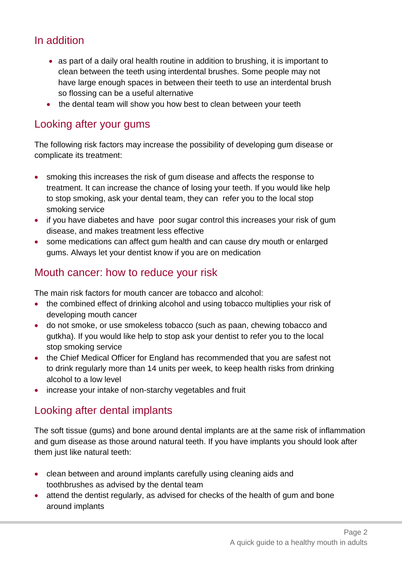## In addition

- as part of a daily oral health routine in addition to brushing, it is important to clean between the teeth using interdental brushes. Some people may not have large enough spaces in between their teeth to use an interdental brush so flossing can be a useful alternative
- the dental team will show you how best to clean between your teeth

### Looking after your gums

The following risk factors may increase the possibility of developing gum disease or complicate its treatment:

- smoking this increases the risk of gum disease and affects the response to treatment. It can increase the chance of losing your teeth. If you would like help to stop smoking, ask your dental team, they can refer you to the local stop smoking service
- if you have diabetes and have poor sugar control this increases your risk of gum disease, and makes treatment less effective
- some medications can affect gum health and can cause dry mouth or enlarged gums. Always let your dentist know if you are on medication

### Mouth cancer: how to reduce your risk

The main risk factors for mouth cancer are tobacco and alcohol:

- the combined effect of drinking alcohol and using tobacco multiplies your risk of developing mouth cancer
- do not smoke, or use smokeless tobacco (such as paan, chewing tobacco and gutkha). If you would like help to stop ask your dentist to refer you to the local stop smoking service
- the Chief Medical Officer for England has recommended that you are safest not to drink regularly more than 14 units per week, to keep health risks from drinking alcohol to a low level
- increase your intake of non-starchy vegetables and fruit

# Looking after dental implants

The soft tissue (gums) and bone around dental implants are at the same risk of inflammation and gum disease as those around natural teeth. If you have implants you should look after them just like natural teeth:

- clean between and around implants carefully using cleaning aids and toothbrushes as advised by the dental team
- attend the dentist regularly, as advised for checks of the health of gum and bone around implants